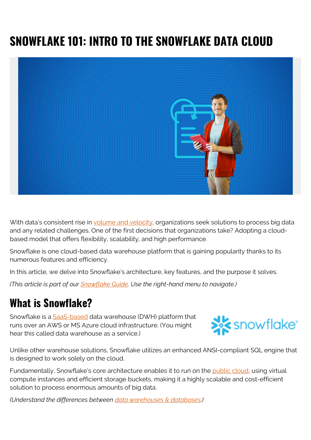# **SNOWFLAKE 101: INTRO TO THE SNOWFLAKE DATA CLOUD**



With data's consistent rise in [volume and velocity](https://blogs.bmc.com/blogs/big-data/), organizations seek solutions to process big data and any related challenges. One of the first decisions that organizations take? Adopting a cloudbased model that offers flexibility, scalability, and high performance.

Snowflake is one cloud-based data warehouse platform that is gaining popularity thanks to its numerous features and efficiency.

In this article, we delve into Snowflake's architecture, key features, and the purpose it solves.

*(This article is part of our [Snowflake Guide](https://blogs.bmc.com/blogs/import-data-s3-snowflake/). Use the right-hand menu to navigate.)*

### **What is Snowflake?**

Snowflake is a [SaaS-based](https://blogs.bmc.com/blogs/saas-vs-paas-vs-iaas-whats-the-difference-and-how-to-choose/) data warehouse (DWH) platform that runs over an AWS or MS Azure cloud infrastructure. (You might hear this called data warehouse as a service.)



Unlike other warehouse solutions, Snowflake utilizes an enhanced ANSI-compliant SQL engine that is designed to work solely on the cloud.

Fundamentally, Snowflake's core architecture enables it to run on the [public cloud,](https://blogs.bmc.com/blogs/public-private-hybrid-cloud) using virtual compute instances and efficient storage buckets, making it a highly scalable and cost-efficient solution to process enormous amounts of big data.

*(Understand the differences between [data warehouses & databases](https://blogs.bmc.com/blogs/data-lake-vs-data-warehouse-vs-database-whats-the-difference/).)*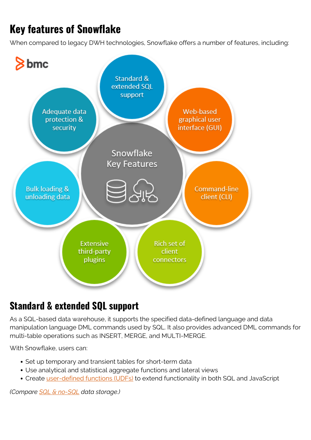## **Key features of Snowflake**

When compared to legacy DWH technologies, Snowflake offers a number of features, including:



#### **Standard & extended SQL support**

As a SQL-based data warehouse, it supports the specified data-defined language and data manipulation language DML commands used by SQL. It also provides advanced DML commands for multi-table operations such as INSERT, MERGE, and MULTI-MERGE.

With Snowflake, users can:

- Set up temporary and transient tables for short-term data
- Use analytical and statistical aggregate functions and lateral views
- Create [user-defined functions \(UDFs\)](https://blogs.bmc.com/blogs/snowflake-user-defined-functions/) to extend functionality in both SQL and JavaScript

*(Compare [SQL & no-SQL](https://blogs.bmc.com/blogs/sql-vs-nosql/) data storage.)*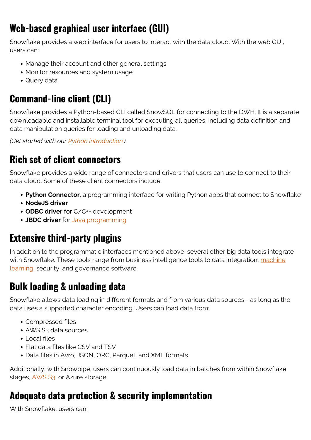#### **Web-based graphical user interface (GUI)**

Snowflake provides a web interface for users to interact with the data cloud. With the web GUI, users can:

- Manage their account and other general settings
- Monitor resources and system usage
- Query data

#### **Command-line client (CLI)**

Snowflake provides a Python-based CLI called SnowSQL for connecting to the DWH. It is a separate downloadable and installable terminal tool for executing all queries, including data definition and data manipulation queries for loading and unloading data.

*(Get started with our [Python introduction](https://blogs.bmc.com/blogs/python-tooling/).)*

#### **Rich set of client connectors**

Snowflake provides a wide range of connectors and drivers that users can use to connect to their data cloud. Some of these client connectors include:

- **Python Connector**, a programming interface for writing Python apps that connect to Snowflake
- **NodeJS driver**
- **ODBC driver** for C/C++ development
- **JBDC driver** for [Java programming](https://blogs.bmc.com/blogs/python-vs-java/)

#### **Extensive third-party plugins**

In addition to the programmatic interfaces mentioned above, several other big data tools integrate with Snowflake. These tools range from business intelligence tools to data integration, [machine](https://blogs.bmc.com/blogs/artificial-intelligence-vs-machine-learning/) [learning,](https://blogs.bmc.com/blogs/artificial-intelligence-vs-machine-learning/) security, and governance software.

#### **Bulk loading & unloading data**

Snowflake allows data loading in different formats and from various data sources - as long as the data uses a supported character encoding. Users can load data from:

- Compressed files
- AWS S3 data sources
- Local files
- Flat data files like CSV and TSV
- Data files in Avro, JSON, ORC, Parquet, and XML formats

Additionally, with Snowpipe, users can continuously load data in batches from within Snowflake stages, [AWS S3,](https://blogs.bmc.com/blogs/import-data-s3-snowflake/) or Azure storage.

#### **Adequate data protection & security implementation**

With Snowflake, users can: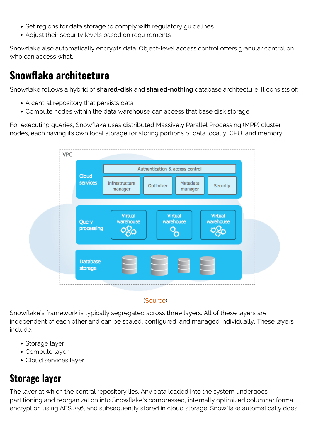- Set regions for data storage to comply with regulatory guidelines
- Adjust their security levels based on requirements

Snowflake also automatically encrypts data. Object-level access control offers granular control on who can access what.

#### **Snowflake architecture**

Snowflake follows a hybrid of **shared-disk** and **shared-nothing** database architecture. It consists of:

- A central repository that persists data
- Compute nodes within the data warehouse can access that base disk storage

For executing queries, Snowflake uses distributed Massively Parallel Processing (MPP) cluster nodes, each having its own local storage for storing portions of data locally, CPU, and memory.



#### ([Source](https://docs.snowflake.com/en/user-guide/intro-key-concepts.html))

Snowflake's framework is typically segregated across three layers. All of these layers are independent of each other and can be scaled, configured, and managed individually. These layers include:

- Storage layer
- Compute layer
- Cloud services layer

#### **Storage layer**

The layer at which the central repository lies. Any data loaded into the system undergoes partitioning and reorganization into Snowflake's compressed, internally optimized columnar format, encryption using AES 256, and subsequently stored in cloud storage. Snowflake automatically does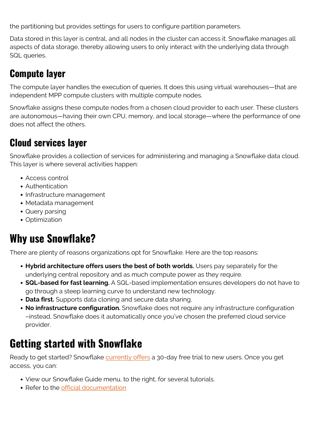the partitioning but provides settings for users to configure partition parameters.

Data stored in this layer is central, and all nodes in the cluster can access it. Snowflake manages all aspects of data storage, thereby allowing users to only interact with the underlying data through SQL queries.

#### **Compute layer**

The compute layer handles the execution of queries. It does this using virtual warehouses—that are independent MPP compute clusters with multiple compute nodes.

Snowflake assigns these compute nodes from a chosen cloud provider to each user. These clusters are autonomous—having their own CPU, memory, and local storage—where the performance of one does not affect the others.

#### **Cloud services layer**

Snowflake provides a collection of services for administering and managing a Snowflake data cloud. This layer is where several activities happen:

- Access control
- Authentication
- Infrastructure management
- Metadata management
- Query parsing
- Optimization

## **Why use Snowflake?**

There are plenty of reasons organizations opt for Snowflake. Here are the top reasons:

- **Hybrid architecture offers users the best of both worlds.** Users pay separately for the underlying central repository and as much compute power as they require.
- **SQL-based for fast learning.** A SQL-based implementation ensures developers do not have to go through a steep learning curve to understand new technology.
- **Data first.** Supports data cloning and secure data sharing.
- **No infrastructure configuration.** Snowflake does not require any infrastructure configuration –instead, Snowflake does it automatically once you've chosen the preferred cloud service provider.

## **Getting started with Snowflake**

Ready to get started? Snowflake [currently offers](https://signup.snowflake.com/) a 30-day free trial to new users. Once you get access, you can:

- View our Snowflake Guide menu, to the right, for several tutorials.
- Refer to the [official documentation](https://docs.snowflake.com/en/user-guide/intro-key-concepts.html)